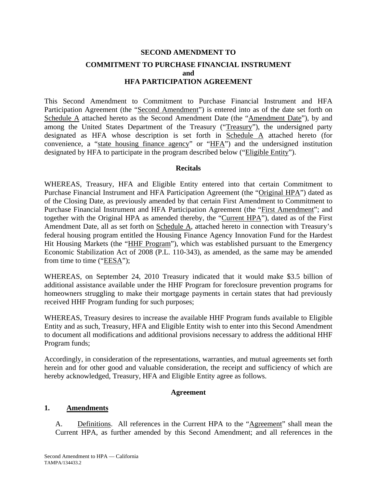# **SECOND AMENDMENT TO COMMITMENT TO PURCHASE FINANCIAL INSTRUMENT and HFA PARTICIPATION AGREEMENT**

This Second Amendment to Commitment to Purchase Financial Instrument and HFA Participation Agreement (the "Second Amendment") is entered into as of the date set forth on Schedule A attached hereto as the Second Amendment Date (the "Amendment Date"), by and among the United States Department of the Treasury ("Treasury"), the undersigned party designated as HFA whose description is set forth in Schedule A attached hereto (for convenience, a "state housing finance agency" or "HFA") and the undersigned institution designated by HFA to participate in the program described below ("Eligible Entity").

#### **Recitals**

WHEREAS, Treasury, HFA and Eligible Entity entered into that certain Commitment to Purchase Financial Instrument and HFA Participation Agreement (the "Original HPA") dated as of the Closing Date, as previously amended by that certain First Amendment to Commitment to Purchase Financial Instrument and HFA Participation Agreement (the "First Amendment"; and together with the Original HPA as amended thereby, the "Current HPA"), dated as of the First Amendment Date, all as set forth on Schedule A, attached hereto in connection with Treasury's federal housing program entitled the Housing Finance Agency Innovation Fund for the Hardest Hit Housing Markets (the "HHF Program"), which was established pursuant to the Emergency Economic Stabilization Act of 2008 (P.L. 110-343), as amended, as the same may be amended from time to time ("EESA");

WHEREAS, on September 24, 2010 Treasury indicated that it would make \$3.5 billion of additional assistance available under the HHF Program for foreclosure prevention programs for homeowners struggling to make their mortgage payments in certain states that had previously received HHF Program funding for such purposes;

WHEREAS, Treasury desires to increase the available HHF Program funds available to Eligible Entity and as such, Treasury, HFA and Eligible Entity wish to enter into this Second Amendment to document all modifications and additional provisions necessary to address the additional HHF Program funds;

Accordingly, in consideration of the representations, warranties, and mutual agreements set forth herein and for other good and valuable consideration, the receipt and sufficiency of which are hereby acknowledged, Treasury, HFA and Eligible Entity agree as follows.

#### **Agreement**

#### **1. Amendments**

A. Definitions. All references in the Current HPA to the "Agreement" shall mean the Current HPA, as further amended by this Second Amendment; and all references in the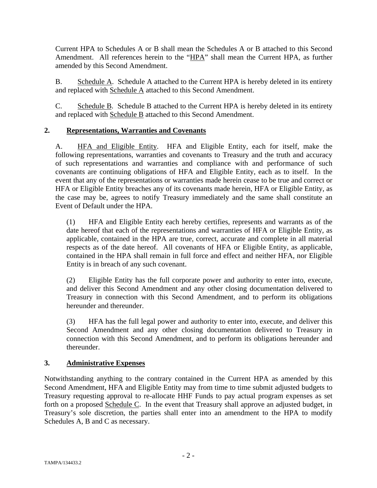Current HPA to Schedules A or B shall mean the Schedules A or B attached to this Second Amendment. All references herein to the "HPA" shall mean the Current HPA, as further amended by this Second Amendment.

B. Schedule A. Schedule A attached to the Current HPA is hereby deleted in its entirety and replaced with Schedule A attached to this Second Amendment.

C. Schedule B. Schedule B attached to the Current HPA is hereby deleted in its entirety and replaced with Schedule B attached to this Second Amendment.

# **2. Representations, Warranties and Covenants**

A. HFA and Eligible Entity. HFA and Eligible Entity, each for itself, make the following representations, warranties and covenants to Treasury and the truth and accuracy of such representations and warranties and compliance with and performance of such covenants are continuing obligations of HFA and Eligible Entity, each as to itself. In the event that any of the representations or warranties made herein cease to be true and correct or HFA or Eligible Entity breaches any of its covenants made herein, HFA or Eligible Entity, as the case may be, agrees to notify Treasury immediately and the same shall constitute an Event of Default under the HPA.

(1) HFA and Eligible Entity each hereby certifies, represents and warrants as of the date hereof that each of the representations and warranties of HFA or Eligible Entity, as applicable, contained in the HPA are true, correct, accurate and complete in all material respects as of the date hereof. All covenants of HFA or Eligible Entity, as applicable, contained in the HPA shall remain in full force and effect and neither HFA, nor Eligible Entity is in breach of any such covenant.

(2) Eligible Entity has the full corporate power and authority to enter into, execute, and deliver this Second Amendment and any other closing documentation delivered to Treasury in connection with this Second Amendment, and to perform its obligations hereunder and thereunder.

(3) HFA has the full legal power and authority to enter into, execute, and deliver this Second Amendment and any other closing documentation delivered to Treasury in connection with this Second Amendment, and to perform its obligations hereunder and thereunder.

#### **3. Administrative Expenses**

Notwithstanding anything to the contrary contained in the Current HPA as amended by this Second Amendment, HFA and Eligible Entity may from time to time submit adjusted budgets to Treasury requesting approval to re-allocate HHF Funds to pay actual program expenses as set forth on a proposed Schedule C. In the event that Treasury shall approve an adjusted budget, in Treasury's sole discretion, the parties shall enter into an amendment to the HPA to modify Schedules A, B and C as necessary.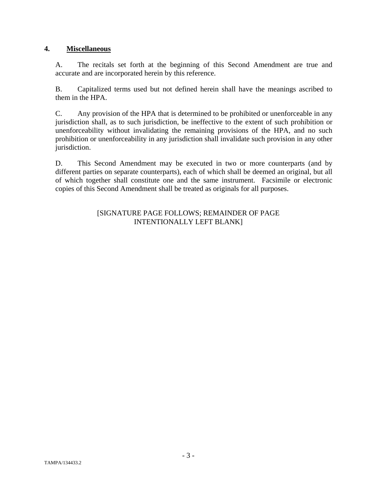#### **4. Miscellaneous**

A. The recitals set forth at the beginning of this Second Amendment are true and accurate and are incorporated herein by this reference.

B. Capitalized terms used but not defined herein shall have the meanings ascribed to them in the HPA.

C. Any provision of the HPA that is determined to be prohibited or unenforceable in any jurisdiction shall, as to such jurisdiction, be ineffective to the extent of such prohibition or unenforceability without invalidating the remaining provisions of the HPA, and no such prohibition or unenforceability in any jurisdiction shall invalidate such provision in any other jurisdiction.

D. This Second Amendment may be executed in two or more counterparts (and by different parties on separate counterparts), each of which shall be deemed an original, but all of which together shall constitute one and the same instrument. Facsimile or electronic copies of this Second Amendment shall be treated as originals for all purposes.

#### [SIGNATURE PAGE FOLLOWS; REMAINDER OF PAGE INTENTIONALLY LEFT BLANK]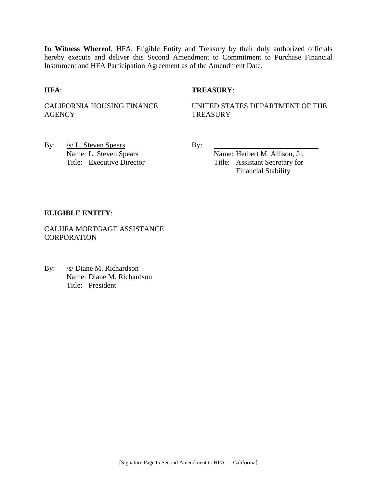**In Witness Whereof**, HFA, Eligible Entity and Treasury by their duly authorized officials hereby execute and deliver this Second Amendment to Commitment to Purchase Financial Instrument and HFA Participation Agreement as of the Amendment Date.

#### **HFA**: **TREASURY**:

CALIFORNIA HOUSING FINANCE **AGENCY** 

UNITED STATES DEPARTMENT OF THE **TREASURY** 

By: <u>/s/ L. Steven Spears</u> By: Name: L. Steven Spears Name: Herbert M. Allison, Jr.

Title: Executive Director Title: Assistant Secretary for Financial Stability

#### **ELIGIBLE ENTITY**:

CALHFA MORTGAGE ASSISTANCE **CORPORATION** 

By: /s/ Diane M. Richardson Name: Diane M. Richardson Title: President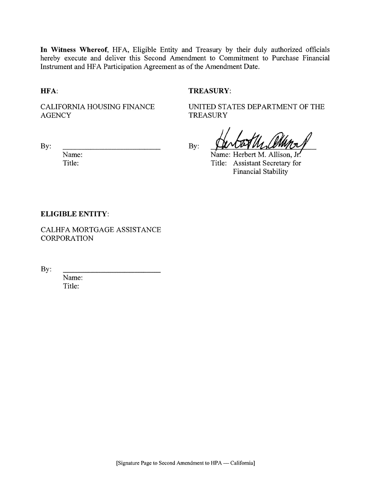In Witness Whereof, HFA, Eligible Entity and Treasury by their duly authorized officials hereby execute and deliver this Second Amendment to Commitment to Purchase Financial Instrument and HFA Participation Agreement as of the Amendment Date.

HFA:

#### **TREASURY:**

**CALIFORNIA HOUSING FINANCE AGENCY** 

**TREASURY** 

UNITED STATES DEPARTMENT OF THE

By:

Name: Title:

By:

Name: Herbert M. Allison, Jr.

Title: Assistant Secretary for **Financial Stability** 

#### **ELIGIBLE ENTITY:**

CALHFA MORTGAGE ASSISTANCE **CORPORATION** 

By:

Name: Title: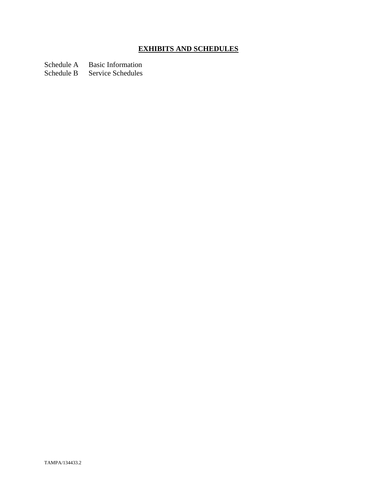# **EXHIBITS AND SCHEDULES**

Schedule A Basic Information<br>Schedule B Service Schedules

Service Schedules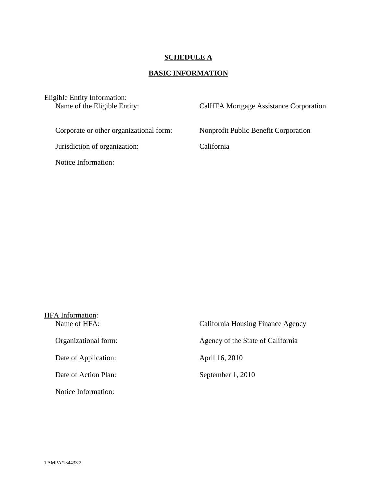#### **SCHEDULE A**

# **BASIC INFORMATION**

Eligible Entity Information:<br>Name of the Eligible Entity:

CalHFA Mortgage Assistance Corporation

Jurisdiction of organization: California

Notice Information:

Corporate or other organizational form: Nonprofit Public Benefit Corporation

| <b>HFA</b> Information: |                                   |  |  |
|-------------------------|-----------------------------------|--|--|
| Name of HFA:            | California Housing Finance Agency |  |  |
| Organizational form:    | Agency of the State of California |  |  |
| Date of Application:    | April 16, 2010                    |  |  |
| Date of Action Plan:    | September 1, 2010                 |  |  |
| Notice Information:     |                                   |  |  |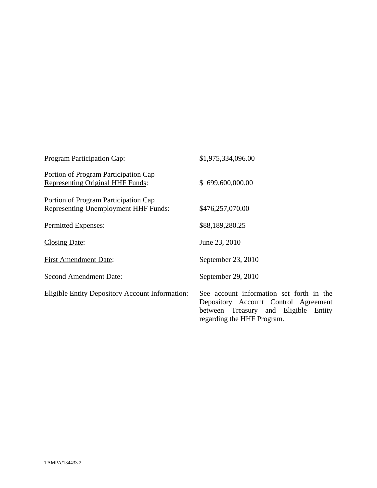| <b>Program Participation Cap:</b>                                                   | \$1,975,334,096.00                                                                                                                                     |
|-------------------------------------------------------------------------------------|--------------------------------------------------------------------------------------------------------------------------------------------------------|
| Portion of Program Participation Cap<br>Representing Original HHF Funds:            | \$699,600,000.00                                                                                                                                       |
| Portion of Program Participation Cap<br><b>Representing Unemployment HHF Funds:</b> | \$476,257,070.00                                                                                                                                       |
| Permitted Expenses:                                                                 | \$88,189,280.25                                                                                                                                        |
| <b>Closing Date:</b>                                                                | June 23, 2010                                                                                                                                          |
| <b>First Amendment Date:</b>                                                        | September 23, 2010                                                                                                                                     |
| <b>Second Amendment Date:</b>                                                       | September 29, 2010                                                                                                                                     |
| <b>Eligible Entity Depository Account Information:</b>                              | See account information set forth in the<br>Depository Account Control Agreement<br>between Treasury and Eligible Entity<br>regarding the HHF Program. |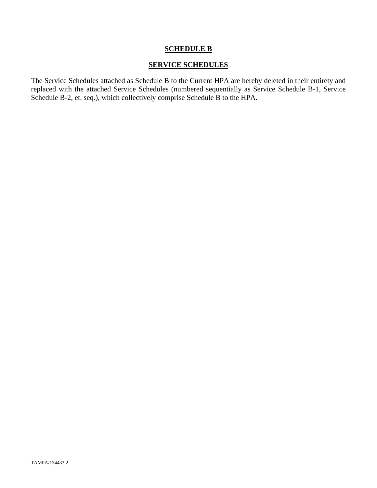#### **SERVICE SCHEDULES**

The Service Schedules attached as Schedule B to the Current HPA are hereby deleted in their entirety and replaced with the attached Service Schedules (numbered sequentially as Service Schedule B-1, Service Schedule B-2, et. seq.), which collectively comprise Schedule B to the HPA.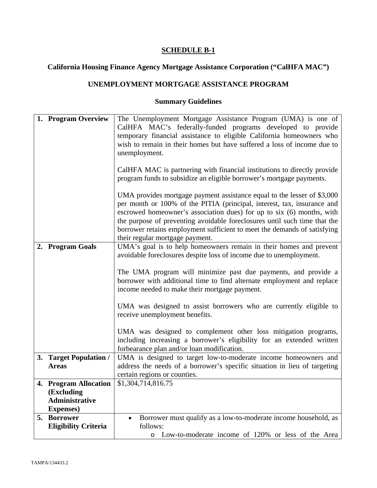# **California Housing Finance Agency Mortgage Assistance Corporation ("CalHFA MAC")**

# **UNEMPLOYMENT MORTGAGE ASSISTANCE PROGRAM**

| 1. Program Overview                 | The Unemployment Mortgage Assistance Program (UMA) is one of<br>CalHFA MAC's federally-funded programs developed to provide                                                                                                                                                                                                                                                                                             |
|-------------------------------------|-------------------------------------------------------------------------------------------------------------------------------------------------------------------------------------------------------------------------------------------------------------------------------------------------------------------------------------------------------------------------------------------------------------------------|
|                                     | temporary financial assistance to eligible California homeowners who<br>wish to remain in their homes but have suffered a loss of income due to<br>unemployment.                                                                                                                                                                                                                                                        |
|                                     | CalHFA MAC is partnering with financial institutions to directly provide<br>program funds to subsidize an eligible borrower's mortgage payments.                                                                                                                                                                                                                                                                        |
|                                     | UMA provides mortgage payment assistance equal to the lesser of \$3,000<br>per month or 100% of the PITIA (principal, interest, tax, insurance and<br>escrowed homeowner's association dues) for up to six (6) months, with<br>the purpose of preventing avoidable foreclosures until such time that the<br>borrower retains employment sufficient to meet the demands of satisfying<br>their regular mortgage payment. |
| 2. Program Goals                    | UMA's goal is to help homeowners remain in their homes and prevent<br>avoidable foreclosures despite loss of income due to unemployment.                                                                                                                                                                                                                                                                                |
|                                     | The UMA program will minimize past due payments, and provide a<br>borrower with additional time to find alternate employment and replace<br>income needed to make their mortgage payment.                                                                                                                                                                                                                               |
|                                     | UMA was designed to assist borrowers who are currently eligible to<br>receive unemployment benefits.                                                                                                                                                                                                                                                                                                                    |
|                                     | UMA was designed to complement other loss mitigation programs,<br>including increasing a borrower's eligibility for an extended written<br>forbearance plan and/or loan modification.                                                                                                                                                                                                                                   |
| 3. Target Population /              | UMA is designed to target low-to-moderate income homeowners and                                                                                                                                                                                                                                                                                                                                                         |
| <b>Areas</b>                        | address the needs of a borrower's specific situation in lieu of targeting                                                                                                                                                                                                                                                                                                                                               |
|                                     | certain regions or counties.                                                                                                                                                                                                                                                                                                                                                                                            |
| 4. Program Allocation               | \$1,304,714,816.75                                                                                                                                                                                                                                                                                                                                                                                                      |
| (Excluding<br><b>Administrative</b> |                                                                                                                                                                                                                                                                                                                                                                                                                         |
| <b>Expenses</b> )                   |                                                                                                                                                                                                                                                                                                                                                                                                                         |
| 5. Borrower                         | Borrower must qualify as a low-to-moderate income household, as<br>$\bullet$                                                                                                                                                                                                                                                                                                                                            |
| <b>Eligibility Criteria</b>         | follows:                                                                                                                                                                                                                                                                                                                                                                                                                |
|                                     | Low-to-moderate income of 120% or less of the Area<br>$\circ$                                                                                                                                                                                                                                                                                                                                                           |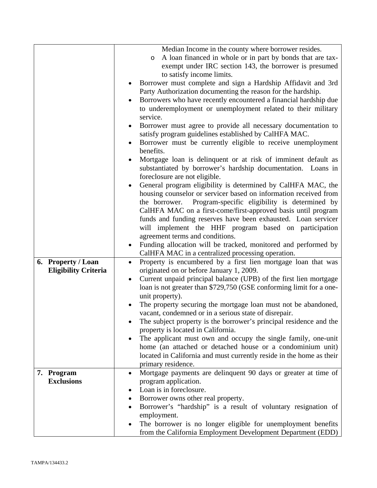|                             | Median Income in the county where borrower resides.                        |
|-----------------------------|----------------------------------------------------------------------------|
|                             | A loan financed in whole or in part by bonds that are tax-<br>$\circ$      |
|                             | exempt under IRC section 143, the borrower is presumed                     |
|                             | to satisfy income limits.                                                  |
|                             | Borrower must complete and sign a Hardship Affidavit and 3rd               |
|                             | Party Authorization documenting the reason for the hardship.               |
|                             | Borrowers who have recently encountered a financial hardship due           |
|                             |                                                                            |
|                             | to underemployment or unemployment related to their military               |
|                             | service.                                                                   |
|                             | Borrower must agree to provide all necessary documentation to<br>$\bullet$ |
|                             | satisfy program guidelines established by CalHFA MAC.                      |
|                             | Borrower must be currently eligible to receive unemployment                |
|                             | benefits.                                                                  |
|                             | Mortgage loan is delinquent or at risk of imminent default as              |
|                             | substantiated by borrower's hardship documentation. Loans in               |
|                             | foreclosure are not eligible.                                              |
|                             | General program eligibility is determined by CalHFA MAC, the               |
|                             | housing counselor or servicer based on information received from           |
|                             | the borrower. Program-specific eligibility is determined by                |
|                             | CalHFA MAC on a first-come/first-approved basis until program              |
|                             | funds and funding reserves have been exhausted. Loan servicer              |
|                             | will implement the HHF program based on participation                      |
|                             | agreement terms and conditions.                                            |
|                             | Funding allocation will be tracked, monitored and performed by             |
|                             |                                                                            |
|                             | CalHFA MAC in a centralized processing operation.                          |
| 6. Property / Loan          | Property is encumbered by a first lien mortgage loan that was<br>$\bullet$ |
| <b>Eligibility Criteria</b> | originated on or before January 1, 2009.                                   |
|                             | Current unpaid principal balance (UPB) of the first lien mortgage          |
|                             | loan is not greater than \$729,750 (GSE conforming limit for a one-        |
|                             | unit property).                                                            |
|                             | The property securing the mortgage loan must not be abandoned,             |
|                             | vacant, condemned or in a serious state of disrepair.                      |
|                             | The subject property is the borrower's principal residence and the         |
|                             | property is located in California.                                         |
|                             | The applicant must own and occupy the single family, one-unit              |
|                             | home (an attached or detached house or a condominium unit)                 |
|                             | located in California and must currently reside in the home as their       |
|                             | primary residence.                                                         |
| 7. Program                  | Mortgage payments are delinquent 90 days or greater at time of<br>٠        |
| <b>Exclusions</b>           | program application.                                                       |
|                             | Loan is in foreclosure.                                                    |
|                             | Borrower owns other real property.                                         |
|                             | Borrower's "hardship" is a result of voluntary resignation of              |
|                             | employment.                                                                |
|                             | The borrower is no longer eligible for unemployment benefits               |
|                             | from the California Employment Development Department (EDD)                |
|                             |                                                                            |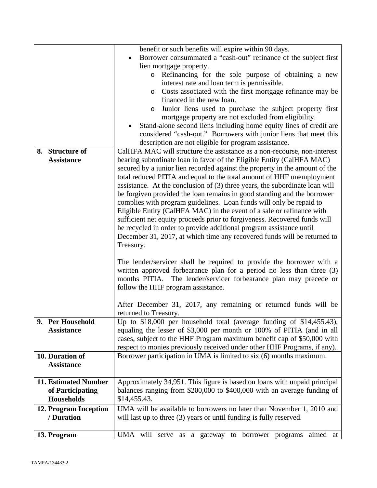|                       | benefit or such benefits will expire within 90 days.                        |
|-----------------------|-----------------------------------------------------------------------------|
|                       | Borrower consummated a "cash-out" refinance of the subject first            |
|                       | lien mortgage property.                                                     |
|                       | Refinancing for the sole purpose of obtaining a new<br>$\circ$              |
|                       | interest rate and loan term is permissible.                                 |
|                       | Costs associated with the first mortgage refinance may be<br>$\circ$        |
|                       | financed in the new loan.                                                   |
|                       | Junior liens used to purchase the subject property first<br>$\circ$         |
|                       | mortgage property are not excluded from eligibility.                        |
|                       | Stand-alone second liens including home equity lines of credit are          |
|                       | considered "cash-out." Borrowers with junior liens that meet this           |
|                       | description are not eligible for program assistance.                        |
| 8. Structure of       | CalHFA MAC will structure the assistance as a non-recourse, non-interest    |
| <b>Assistance</b>     | bearing subordinate loan in favor of the Eligible Entity (CalHFA MAC)       |
|                       | secured by a junior lien recorded against the property in the amount of the |
|                       | total reduced PITIA and equal to the total amount of HHF unemployment       |
|                       | assistance. At the conclusion of (3) three years, the subordinate loan will |
|                       | be forgiven provided the loan remains in good standing and the borrower     |
|                       | complies with program guidelines. Loan funds will only be repaid to         |
|                       | Eligible Entity (CalHFA MAC) in the event of a sale or refinance with       |
|                       | sufficient net equity proceeds prior to forgiveness. Recovered funds will   |
|                       | be recycled in order to provide additional program assistance until         |
|                       | December 31, 2017, at which time any recovered funds will be returned to    |
|                       | Treasury.                                                                   |
|                       |                                                                             |
|                       | The lender/servicer shall be required to provide the borrower with a        |
|                       | written approved forbearance plan for a period no less than three (3)       |
|                       | months PITIA. The lender/servicer forbearance plan may precede or           |
|                       | follow the HHF program assistance.                                          |
|                       |                                                                             |
|                       | After December 31, 2017, any remaining or returned funds will be            |
|                       | returned to Treasury.                                                       |
| 9. Per Household      | Up to \$18,000 per household total (average funding of \$14,455.43),        |
| <b>Assistance</b>     | equaling the lesser of \$3,000 per month or 100% of PITIA (and in all       |
|                       | cases, subject to the HHF Program maximum benefit cap of \$50,000 with      |
|                       | respect to monies previously received under other HHF Programs, if any).    |
| 10. Duration of       | Borrower participation in UMA is limited to six (6) months maximum.         |
| <b>Assistance</b>     |                                                                             |
|                       |                                                                             |
| 11. Estimated Number  | Approximately 34,951. This figure is based on loans with unpaid principal   |
| of Participating      | balances ranging from \$200,000 to \$400,000 with an average funding of     |
| <b>Households</b>     | \$14,455.43.                                                                |
| 12. Program Inception | UMA will be available to borrowers no later than November 1, 2010 and       |
| / Duration            | will last up to three (3) years or until funding is fully reserved.         |
|                       |                                                                             |
| 13. Program           | UMA will serve as a gateway to borrower programs<br>aimed at                |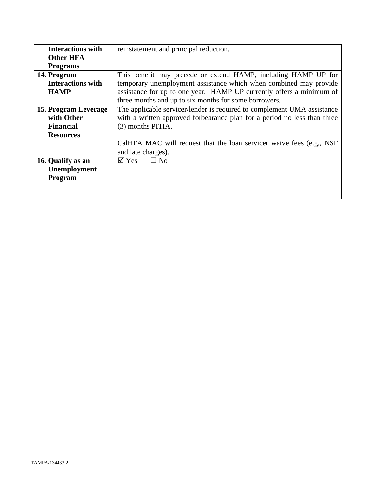| <b>Interactions with</b> | reinstatement and principal reduction.                                   |
|--------------------------|--------------------------------------------------------------------------|
| <b>Other HFA</b>         |                                                                          |
| <b>Programs</b>          |                                                                          |
| 14. Program              | This benefit may precede or extend HAMP, including HAMP UP for           |
| <b>Interactions with</b> | temporary unemployment assistance which when combined may provide        |
| <b>HAMP</b>              | assistance for up to one year. HAMP UP currently offers a minimum of     |
|                          | three months and up to six months for some borrowers.                    |
| 15. Program Leverage     | The applicable servicer/lender is required to complement UMA assistance  |
| with Other               | with a written approved forbearance plan for a period no less than three |
| <b>Financial</b>         | (3) months PITIA.                                                        |
| <b>Resources</b>         |                                                                          |
|                          | CalHFA MAC will request that the loan servicer waive fees (e.g., NSF     |
|                          | and late charges).                                                       |
| 16. Qualify as an        | $\Box$ No<br>$\boxtimes$ Yes                                             |
| Unemployment             |                                                                          |
| Program                  |                                                                          |
|                          |                                                                          |
|                          |                                                                          |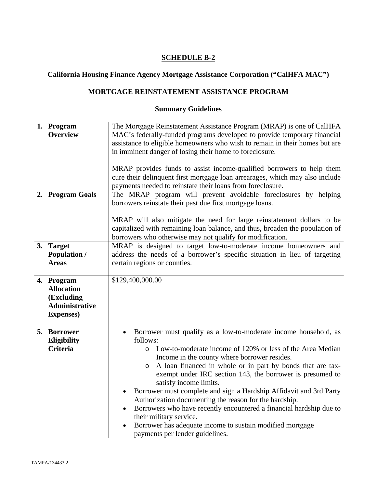# **California Housing Finance Agency Mortgage Assistance Corporation ("CalHFA MAC")**

# **MORTGAGE REINSTATEMENT ASSISTANCE PROGRAM**

| 1. Program<br><b>Overview</b>                                                               | The Mortgage Reinstatement Assistance Program (MRAP) is one of CalHFA<br>MAC's federally-funded programs developed to provide temporary financial<br>assistance to eligible homeowners who wish to remain in their homes but are                                                                                                                                                                                                                                                                                                                                                                                                                                                                      |
|---------------------------------------------------------------------------------------------|-------------------------------------------------------------------------------------------------------------------------------------------------------------------------------------------------------------------------------------------------------------------------------------------------------------------------------------------------------------------------------------------------------------------------------------------------------------------------------------------------------------------------------------------------------------------------------------------------------------------------------------------------------------------------------------------------------|
|                                                                                             | in imminent danger of losing their home to foreclosure.<br>MRAP provides funds to assist income-qualified borrowers to help them<br>cure their delinquent first mortgage loan arrearages, which may also include<br>payments needed to reinstate their loans from foreclosure.                                                                                                                                                                                                                                                                                                                                                                                                                        |
| 2. Program Goals                                                                            | The MRAP program will prevent avoidable foreclosures by helping<br>borrowers reinstate their past due first mortgage loans.<br>MRAP will also mitigate the need for large reinstatement dollars to be<br>capitalized with remaining loan balance, and thus, broaden the population of                                                                                                                                                                                                                                                                                                                                                                                                                 |
| 3. Target<br><b>Population /</b><br><b>Areas</b>                                            | borrowers who otherwise may not qualify for modification.<br>MRAP is designed to target low-to-moderate income homeowners and<br>address the needs of a borrower's specific situation in lieu of targeting<br>certain regions or counties.                                                                                                                                                                                                                                                                                                                                                                                                                                                            |
| 4. Program<br><b>Allocation</b><br>(Excluding<br><b>Administrative</b><br><b>Expenses</b> ) | \$129,400,000.00                                                                                                                                                                                                                                                                                                                                                                                                                                                                                                                                                                                                                                                                                      |
| 5. Borrower<br>Eligibility<br><b>Criteria</b>                                               | Borrower must qualify as a low-to-moderate income household, as<br>follows:<br>Low-to-moderate income of 120% or less of the Area Median<br>$\circ$<br>Income in the county where borrower resides.<br>A loan financed in whole or in part by bonds that are tax-<br>$\circ$<br>exempt under IRC section 143, the borrower is presumed to<br>satisfy income limits.<br>Borrower must complete and sign a Hardship Affidavit and 3rd Party<br>Authorization documenting the reason for the hardship.<br>Borrowers who have recently encountered a financial hardship due to<br>their military service.<br>Borrower has adequate income to sustain modified mortgage<br>payments per lender guidelines. |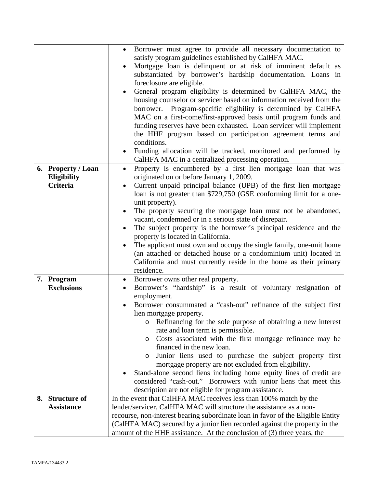|                    | Borrower must agree to provide all necessary documentation to<br>satisfy program guidelines established by CalHFA MAC.<br>Mortgage loan is delinquent or at risk of imminent default as<br>substantiated by borrower's hardship documentation. Loans in<br>foreclosure are eligible.<br>General program eligibility is determined by CalHFA MAC, the<br>housing counselor or servicer based on information received from the<br>borrower. Program-specific eligibility is determined by CalHFA<br>MAC on a first-come/first-approved basis until program funds and<br>funding reserves have been exhausted. Loan servicer will implement<br>the HHF program based on participation agreement terms and<br>conditions.<br>Funding allocation will be tracked, monitored and performed by<br>CalHFA MAC in a centralized processing operation. |
|--------------------|----------------------------------------------------------------------------------------------------------------------------------------------------------------------------------------------------------------------------------------------------------------------------------------------------------------------------------------------------------------------------------------------------------------------------------------------------------------------------------------------------------------------------------------------------------------------------------------------------------------------------------------------------------------------------------------------------------------------------------------------------------------------------------------------------------------------------------------------|
| 6. Property / Loan | Property is encumbered by a first lien mortgage loan that was<br>$\bullet$                                                                                                                                                                                                                                                                                                                                                                                                                                                                                                                                                                                                                                                                                                                                                                   |
| Eligibility        | originated on or before January 1, 2009.                                                                                                                                                                                                                                                                                                                                                                                                                                                                                                                                                                                                                                                                                                                                                                                                     |
| <b>Criteria</b>    | Current unpaid principal balance (UPB) of the first lien mortgage<br>loan is not greater than \$729,750 (GSE conforming limit for a one-<br>unit property).<br>The property securing the mortgage loan must not be abandoned,                                                                                                                                                                                                                                                                                                                                                                                                                                                                                                                                                                                                                |
|                    | vacant, condemned or in a serious state of disrepair.                                                                                                                                                                                                                                                                                                                                                                                                                                                                                                                                                                                                                                                                                                                                                                                        |
|                    | The subject property is the borrower's principal residence and the                                                                                                                                                                                                                                                                                                                                                                                                                                                                                                                                                                                                                                                                                                                                                                           |
|                    | property is located in California.<br>The applicant must own and occupy the single family, one-unit home                                                                                                                                                                                                                                                                                                                                                                                                                                                                                                                                                                                                                                                                                                                                     |
|                    | (an attached or detached house or a condominium unit) located in                                                                                                                                                                                                                                                                                                                                                                                                                                                                                                                                                                                                                                                                                                                                                                             |
|                    | California and must currently reside in the home as their primary                                                                                                                                                                                                                                                                                                                                                                                                                                                                                                                                                                                                                                                                                                                                                                            |
|                    | residence.                                                                                                                                                                                                                                                                                                                                                                                                                                                                                                                                                                                                                                                                                                                                                                                                                                   |
| 7. Program         | Borrower owns other real property.<br>$\bullet$                                                                                                                                                                                                                                                                                                                                                                                                                                                                                                                                                                                                                                                                                                                                                                                              |
| <b>Exclusions</b>  | Borrower's "hardship" is a result of voluntary resignation of                                                                                                                                                                                                                                                                                                                                                                                                                                                                                                                                                                                                                                                                                                                                                                                |
|                    | employment.<br>Borrower consummated a "cash-out" refinance of the subject first                                                                                                                                                                                                                                                                                                                                                                                                                                                                                                                                                                                                                                                                                                                                                              |
|                    | lien mortgage property.                                                                                                                                                                                                                                                                                                                                                                                                                                                                                                                                                                                                                                                                                                                                                                                                                      |
|                    | Refinancing for the sole purpose of obtaining a new interest<br>O                                                                                                                                                                                                                                                                                                                                                                                                                                                                                                                                                                                                                                                                                                                                                                            |
|                    | rate and loan term is permissible.                                                                                                                                                                                                                                                                                                                                                                                                                                                                                                                                                                                                                                                                                                                                                                                                           |
|                    | Costs associated with the first mortgage refinance may be<br>$\circ$                                                                                                                                                                                                                                                                                                                                                                                                                                                                                                                                                                                                                                                                                                                                                                         |
|                    | financed in the new loan.<br>Junior liens used to purchase the subject property first                                                                                                                                                                                                                                                                                                                                                                                                                                                                                                                                                                                                                                                                                                                                                        |
|                    | O<br>mortgage property are not excluded from eligibility.                                                                                                                                                                                                                                                                                                                                                                                                                                                                                                                                                                                                                                                                                                                                                                                    |
|                    | Stand-alone second liens including home equity lines of credit are                                                                                                                                                                                                                                                                                                                                                                                                                                                                                                                                                                                                                                                                                                                                                                           |
|                    | considered "cash-out." Borrowers with junior liens that meet this                                                                                                                                                                                                                                                                                                                                                                                                                                                                                                                                                                                                                                                                                                                                                                            |
|                    | description are not eligible for program assistance.                                                                                                                                                                                                                                                                                                                                                                                                                                                                                                                                                                                                                                                                                                                                                                                         |
| 8. Structure of    | In the event that CalHFA MAC receives less than 100% match by the                                                                                                                                                                                                                                                                                                                                                                                                                                                                                                                                                                                                                                                                                                                                                                            |
| <b>Assistance</b>  | lender/servicer, CalHFA MAC will structure the assistance as a non-<br>recourse, non-interest bearing subordinate loan in favor of the Eligible Entity                                                                                                                                                                                                                                                                                                                                                                                                                                                                                                                                                                                                                                                                                       |
|                    | (CalHFA MAC) secured by a junior lien recorded against the property in the                                                                                                                                                                                                                                                                                                                                                                                                                                                                                                                                                                                                                                                                                                                                                                   |
|                    | amount of the HHF assistance. At the conclusion of (3) three years, the                                                                                                                                                                                                                                                                                                                                                                                                                                                                                                                                                                                                                                                                                                                                                                      |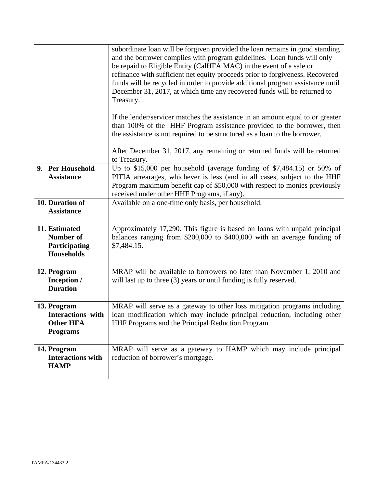|                                                                                | subordinate loan will be forgiven provided the loan remains in good standing<br>and the borrower complies with program guidelines. Loan funds will only<br>be repaid to Eligible Entity (CalHFA MAC) in the event of a sale or<br>refinance with sufficient net equity proceeds prior to forgiveness. Recovered<br>funds will be recycled in order to provide additional program assistance until<br>December 31, 2017, at which time any recovered funds will be returned to<br>Treasury.<br>If the lender/servicer matches the assistance in an amount equal to or greater<br>than 100% of the HHF Program assistance provided to the borrower, then<br>the assistance is not required to be structured as a loan to the borrower. |
|--------------------------------------------------------------------------------|--------------------------------------------------------------------------------------------------------------------------------------------------------------------------------------------------------------------------------------------------------------------------------------------------------------------------------------------------------------------------------------------------------------------------------------------------------------------------------------------------------------------------------------------------------------------------------------------------------------------------------------------------------------------------------------------------------------------------------------|
|                                                                                | After December 31, 2017, any remaining or returned funds will be returned<br>to Treasury.                                                                                                                                                                                                                                                                                                                                                                                                                                                                                                                                                                                                                                            |
| 9. Per Household<br><b>Assistance</b>                                          | Up to \$15,000 per household (average funding of \$7,484.15) or 50% of<br>PITIA arrearages, whichever is less (and in all cases, subject to the HHF<br>Program maximum benefit cap of \$50,000 with respect to monies previously<br>received under other HHF Programs, if any).                                                                                                                                                                                                                                                                                                                                                                                                                                                      |
| 10. Duration of<br><b>Assistance</b>                                           | Available on a one-time only basis, per household.                                                                                                                                                                                                                                                                                                                                                                                                                                                                                                                                                                                                                                                                                   |
| 11. Estimated<br><b>Number of</b><br>Participating<br><b>Households</b>        | Approximately 17,290. This figure is based on loans with unpaid principal<br>balances ranging from \$200,000 to \$400,000 with an average funding of<br>\$7,484.15.                                                                                                                                                                                                                                                                                                                                                                                                                                                                                                                                                                  |
| 12. Program<br>Inception /<br><b>Duration</b>                                  | MRAP will be available to borrowers no later than November 1, 2010 and<br>will last up to three (3) years or until funding is fully reserved.                                                                                                                                                                                                                                                                                                                                                                                                                                                                                                                                                                                        |
| 13. Program<br><b>Interactions</b> with<br><b>Other HFA</b><br><b>Programs</b> | MRAP will serve as a gateway to other loss mitigation programs including<br>loan modification which may include principal reduction, including other<br>HHF Programs and the Principal Reduction Program.                                                                                                                                                                                                                                                                                                                                                                                                                                                                                                                            |
| 14. Program<br><b>Interactions with</b><br><b>HAMP</b>                         | MRAP will serve as a gateway to HAMP which may include principal<br>reduction of borrower's mortgage.                                                                                                                                                                                                                                                                                                                                                                                                                                                                                                                                                                                                                                |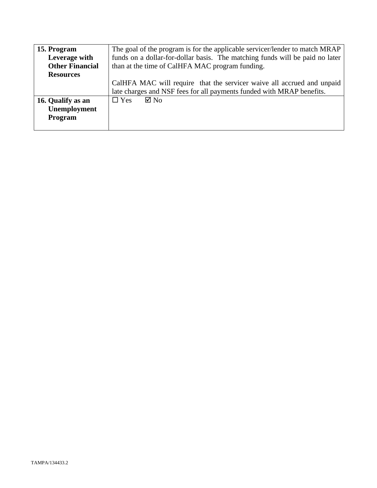| 15. Program            | The goal of the program is for the applicable servicer/lender to match MRAP  |
|------------------------|------------------------------------------------------------------------------|
| Leverage with          | funds on a dollar-for-dollar basis. The matching funds will be paid no later |
| <b>Other Financial</b> | than at the time of CalHFA MAC program funding.                              |
| <b>Resources</b>       |                                                                              |
|                        | CalHFA MAC will require that the servicer waive all accrued and unpaid       |
|                        | late charges and NSF fees for all payments funded with MRAP benefits.        |
| 16. Qualify as an      | $\boxtimes$ No<br>$\Box$ Yes                                                 |
| Unemployment           |                                                                              |
| Program                |                                                                              |
|                        |                                                                              |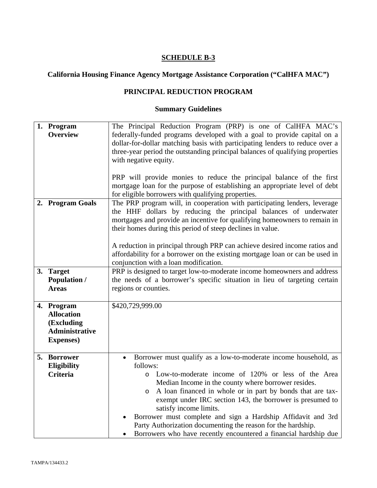# **California Housing Finance Agency Mortgage Assistance Corporation ("CalHFA MAC")**

# **PRINCIPAL REDUCTION PROGRAM**

| 1. Program<br><b>Overview</b>                                                               | The Principal Reduction Program (PRP) is one of CalHFA MAC's<br>federally-funded programs developed with a goal to provide capital on a<br>dollar-for-dollar matching basis with participating lenders to reduce over a<br>three-year period the outstanding principal balances of qualifying properties<br>with negative equity.<br>PRP will provide monies to reduce the principal balance of the first<br>mortgage loan for the purpose of establishing an appropriate level of debt                                                                      |
|---------------------------------------------------------------------------------------------|--------------------------------------------------------------------------------------------------------------------------------------------------------------------------------------------------------------------------------------------------------------------------------------------------------------------------------------------------------------------------------------------------------------------------------------------------------------------------------------------------------------------------------------------------------------|
| 2. Program Goals                                                                            | for eligible borrowers with qualifying properties.<br>The PRP program will, in cooperation with participating lenders, leverage<br>the HHF dollars by reducing the principal balances of underwater<br>mortgages and provide an incentive for qualifying homeowners to remain in<br>their homes during this period of steep declines in value.<br>A reduction in principal through PRP can achieve desired income ratios and<br>affordability for a borrower on the existing mortgage loan or can be used in<br>conjunction with a loan modification.        |
| 3. Target<br><b>Population /</b><br><b>Areas</b>                                            | PRP is designed to target low-to-moderate income homeowners and address<br>the needs of a borrower's specific situation in lieu of targeting certain<br>regions or counties.                                                                                                                                                                                                                                                                                                                                                                                 |
| 4. Program<br><b>Allocation</b><br>(Excluding<br><b>Administrative</b><br><b>Expenses</b> ) | \$420,729,999.00                                                                                                                                                                                                                                                                                                                                                                                                                                                                                                                                             |
| 5. Borrower<br>Eligibility<br><b>Criteria</b>                                               | Borrower must qualify as a low-to-moderate income household, as<br>follows:<br>Low-to-moderate income of 120% or less of the Area<br>Median Income in the county where borrower resides.<br>A loan financed in whole or in part by bonds that are tax-<br>$\circ$<br>exempt under IRC section 143, the borrower is presumed to<br>satisfy income limits.<br>Borrower must complete and sign a Hardship Affidavit and 3rd<br>Party Authorization documenting the reason for the hardship.<br>Borrowers who have recently encountered a financial hardship due |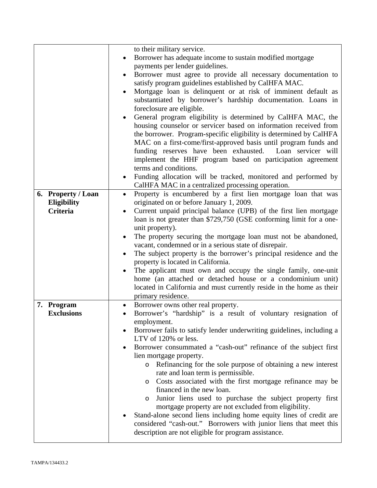|                    | to their military service.                                                                                                         |
|--------------------|------------------------------------------------------------------------------------------------------------------------------------|
|                    | Borrower has adequate income to sustain modified mortgage<br>$\bullet$                                                             |
|                    | payments per lender guidelines.                                                                                                    |
|                    | Borrower must agree to provide all necessary documentation to                                                                      |
|                    | satisfy program guidelines established by CalHFA MAC.                                                                              |
|                    | Mortgage loan is delinquent or at risk of imminent default as                                                                      |
|                    | substantiated by borrower's hardship documentation. Loans in                                                                       |
|                    | foreclosure are eligible.                                                                                                          |
|                    | General program eligibility is determined by CalHFA MAC, the                                                                       |
|                    | housing counselor or servicer based on information received from                                                                   |
|                    | the borrower. Program-specific eligibility is determined by CalHFA                                                                 |
|                    | MAC on a first-come/first-approved basis until program funds and                                                                   |
|                    | funding reserves have been exhausted. Loan servicer will                                                                           |
|                    | implement the HHF program based on participation agreement                                                                         |
|                    | terms and conditions.                                                                                                              |
|                    | Funding allocation will be tracked, monitored and performed by                                                                     |
|                    | CalHFA MAC in a centralized processing operation.                                                                                  |
| 6. Property / Loan | Property is encumbered by a first lien mortgage loan that was<br>$\bullet$                                                         |
| Eligibility        | originated on or before January 1, 2009.                                                                                           |
| <b>Criteria</b>    | Current unpaid principal balance (UPB) of the first lien mortgage                                                                  |
|                    | loan is not greater than \$729,750 (GSE conforming limit for a one-                                                                |
|                    | unit property).                                                                                                                    |
|                    | The property securing the mortgage loan must not be abandoned,                                                                     |
|                    | vacant, condemned or in a serious state of disrepair.                                                                              |
|                    | The subject property is the borrower's principal residence and the<br>٠                                                            |
|                    | property is located in California.                                                                                                 |
|                    | The applicant must own and occupy the single family, one-unit                                                                      |
|                    | home (an attached or detached house or a condominium unit)<br>located in California and must currently reside in the home as their |
|                    | primary residence.                                                                                                                 |
| 7. Program         | Borrower owns other real property.<br>$\bullet$                                                                                    |
| <b>Exclusions</b>  | Borrower's "hardship" is a result of voluntary resignation of                                                                      |
|                    | employment.                                                                                                                        |
|                    | Borrower fails to satisfy lender underwriting guidelines, including a                                                              |
|                    | LTV of 120% or less.                                                                                                               |
|                    | Borrower consummated a "cash-out" refinance of the subject first                                                                   |
|                    | lien mortgage property.                                                                                                            |
|                    | Refinancing for the sole purpose of obtaining a new interest<br>O                                                                  |
|                    | rate and loan term is permissible.                                                                                                 |
|                    | Costs associated with the first mortgage refinance may be<br>$\circ$                                                               |
|                    | financed in the new loan.                                                                                                          |
|                    | Junior liens used to purchase the subject property first<br>O                                                                      |
|                    | mortgage property are not excluded from eligibility.                                                                               |
|                    | Stand-alone second liens including home equity lines of credit are                                                                 |
|                    | considered "cash-out." Borrowers with junior liens that meet this                                                                  |
|                    | description are not eligible for program assistance.                                                                               |
|                    |                                                                                                                                    |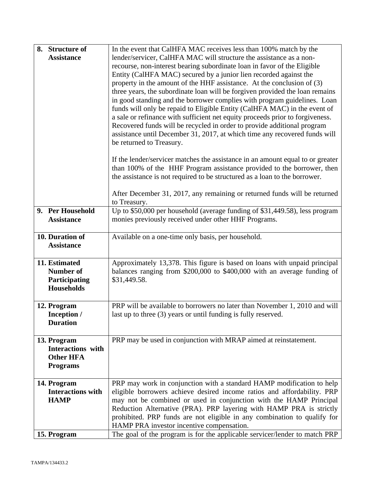| 8. Structure of          | In the event that CalHFA MAC receives less than 100% match by the              |
|--------------------------|--------------------------------------------------------------------------------|
| <b>Assistance</b>        | lender/servicer, CalHFA MAC will structure the assistance as a non-            |
|                          | recourse, non-interest bearing subordinate loan in favor of the Eligible       |
|                          | Entity (CalHFA MAC) secured by a junior lien recorded against the              |
|                          | property in the amount of the HHF assistance. At the conclusion of (3)         |
|                          | three years, the subordinate loan will be forgiven provided the loan remains   |
|                          | in good standing and the borrower complies with program guidelines. Loan       |
|                          | funds will only be repaid to Eligible Entity (CalHFA MAC) in the event of      |
|                          | a sale or refinance with sufficient net equity proceeds prior to forgiveness.  |
|                          | Recovered funds will be recycled in order to provide additional program        |
|                          | assistance until December 31, 2017, at which time any recovered funds will     |
|                          | be returned to Treasury.                                                       |
|                          |                                                                                |
|                          | If the lender/servicer matches the assistance in an amount equal to or greater |
|                          | than 100% of the HHF Program assistance provided to the borrower, then         |
|                          | the assistance is not required to be structured as a loan to the borrower.     |
|                          |                                                                                |
|                          | After December 31, 2017, any remaining or returned funds will be returned      |
|                          | to Treasury.                                                                   |
| 9. Per Household         | Up to \$50,000 per household (average funding of \$31,449.58), less program    |
| <b>Assistance</b>        | monies previously received under other HHF Programs.                           |
|                          |                                                                                |
| 10. Duration of          | Available on a one-time only basis, per household.                             |
| <b>Assistance</b>        |                                                                                |
| 11. Estimated            |                                                                                |
| <b>Number of</b>         | Approximately 13,378. This figure is based on loans with unpaid principal      |
|                          | balances ranging from \$200,000 to \$400,000 with an average funding of        |
| Participating            | \$31,449.58.                                                                   |
| <b>Households</b>        |                                                                                |
| 12. Program              | PRP will be available to borrowers no later than November 1, 2010 and will     |
| Inception /              | last up to three (3) years or until funding is fully reserved.                 |
| <b>Duration</b>          |                                                                                |
|                          |                                                                                |
| 13. Program              | PRP may be used in conjunction with MRAP aimed at reinstatement.               |
| <b>Interactions</b> with |                                                                                |
| <b>Other HFA</b>         |                                                                                |
| <b>Programs</b>          |                                                                                |
|                          |                                                                                |
| 14. Program              | PRP may work in conjunction with a standard HAMP modification to help          |
| <b>Interactions with</b> | eligible borrowers achieve desired income ratios and affordability. PRP        |
| <b>HAMP</b>              | may not be combined or used in conjunction with the HAMP Principal             |
|                          | Reduction Alternative (PRA). PRP layering with HAMP PRA is strictly            |
|                          | prohibited. PRP funds are not eligible in any combination to qualify for       |
|                          | HAMP PRA investor incentive compensation.                                      |
| 15. Program              | The goal of the program is for the applicable servicer/lender to match PRP     |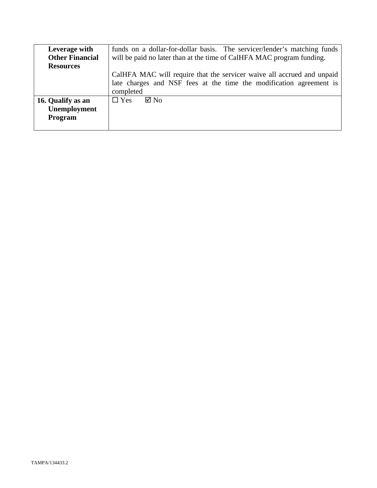| Leverage with          | funds on a dollar-for-dollar basis. The servicer/lender's matching funds |
|------------------------|--------------------------------------------------------------------------|
| <b>Other Financial</b> | will be paid no later than at the time of CalHFA MAC program funding.    |
| <b>Resources</b>       |                                                                          |
|                        | CalHFA MAC will require that the servicer waive all accrued and unpaid   |
|                        | late charges and NSF fees at the time the modification agreement is      |
|                        | completed                                                                |
| 16. Qualify as an      | $\Box$ Yes<br>$\boxtimes$ No                                             |
| Unemployment           |                                                                          |
| Program                |                                                                          |
|                        |                                                                          |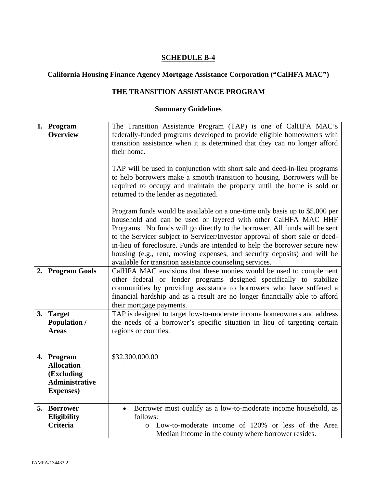# **California Housing Finance Agency Mortgage Assistance Corporation ("CalHFA MAC")**

# **THE TRANSITION ASSISTANCE PROGRAM**

| 1. Program<br><b>Overview</b>                                                               | The Transition Assistance Program (TAP) is one of CalHFA MAC's<br>federally-funded programs developed to provide eligible homeowners with<br>transition assistance when it is determined that they can no longer afford<br>their home.<br>TAP will be used in conjunction with short sale and deed-in-lieu programs<br>to help borrowers make a smooth transition to housing. Borrowers will be<br>required to occupy and maintain the property until the home is sold or<br>returned to the lender as negotiated.                 |
|---------------------------------------------------------------------------------------------|------------------------------------------------------------------------------------------------------------------------------------------------------------------------------------------------------------------------------------------------------------------------------------------------------------------------------------------------------------------------------------------------------------------------------------------------------------------------------------------------------------------------------------|
|                                                                                             | Program funds would be available on a one-time only basis up to \$5,000 per<br>household and can be used or layered with other CalHFA MAC HHF<br>Programs. No funds will go directly to the borrower. All funds will be sent<br>to the Servicer subject to Servicer/Investor approval of short sale or deed-<br>in-lieu of foreclosure. Funds are intended to help the borrower secure new<br>housing (e.g., rent, moving expenses, and security deposits) and will be<br>available for transition assistance counseling services. |
| 2. Program Goals                                                                            | CalHFA MAC envisions that these monies would be used to complement<br>other federal or lender programs designed specifically to stabilize<br>communities by providing assistance to borrowers who have suffered a<br>financial hardship and as a result are no longer financially able to afford<br>their mortgage payments.                                                                                                                                                                                                       |
| 3. Target<br><b>Population /</b><br><b>Areas</b>                                            | TAP is designed to target low-to-moderate income homeowners and address<br>the needs of a borrower's specific situation in lieu of targeting certain<br>regions or counties.                                                                                                                                                                                                                                                                                                                                                       |
| 4. Program<br><b>Allocation</b><br>(Excluding<br><b>Administrative</b><br><b>Expenses</b> ) | \$32,300,000.00                                                                                                                                                                                                                                                                                                                                                                                                                                                                                                                    |
| 5. Borrower<br><b>Eligibility</b><br><b>Criteria</b>                                        | Borrower must qualify as a low-to-moderate income household, as<br>follows:<br>Low-to-moderate income of 120% or less of the Area<br>$\circ$<br>Median Income in the county where borrower resides.                                                                                                                                                                                                                                                                                                                                |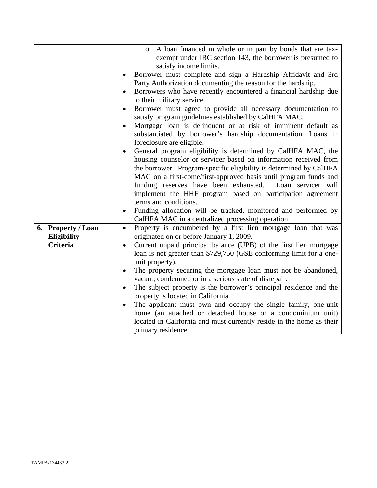|                    | A loan financed in whole or in part by bonds that are tax-<br>$\circ$         |
|--------------------|-------------------------------------------------------------------------------|
|                    | exempt under IRC section 143, the borrower is presumed to                     |
|                    | satisfy income limits.                                                        |
|                    |                                                                               |
|                    | Borrower must complete and sign a Hardship Affidavit and 3rd                  |
|                    | Party Authorization documenting the reason for the hardship.                  |
|                    | Borrowers who have recently encountered a financial hardship due<br>$\bullet$ |
|                    | to their military service.                                                    |
|                    | Borrower must agree to provide all necessary documentation to                 |
|                    | satisfy program guidelines established by CalHFA MAC.                         |
|                    | Mortgage loan is delinquent or at risk of imminent default as<br>$\bullet$    |
|                    | substantiated by borrower's hardship documentation. Loans in                  |
|                    |                                                                               |
|                    | foreclosure are eligible.                                                     |
|                    | General program eligibility is determined by CalHFA MAC, the                  |
|                    | housing counselor or servicer based on information received from              |
|                    | the borrower. Program-specific eligibility is determined by CalHFA            |
|                    | MAC on a first-come/first-approved basis until program funds and              |
|                    | funding reserves have been exhausted.<br>Loan servicer will                   |
|                    | implement the HHF program based on participation agreement                    |
|                    | terms and conditions.                                                         |
|                    | Funding allocation will be tracked, monitored and performed by                |
|                    | CalHFA MAC in a centralized processing operation.                             |
|                    |                                                                               |
| 6. Property / Loan | Property is encumbered by a first lien mortgage loan that was<br>$\bullet$    |
| Eligibility        | originated on or before January 1, 2009.                                      |
| <b>Criteria</b>    | Current unpaid principal balance (UPB) of the first lien mortgage             |
|                    | loan is not greater than \$729,750 (GSE conforming limit for a one-           |
|                    | unit property).                                                               |
|                    | The property securing the mortgage loan must not be abandoned,<br>٠           |
|                    | vacant, condemned or in a serious state of disrepair.                         |
|                    | The subject property is the borrower's principal residence and the            |
|                    | property is located in California.                                            |
|                    | The applicant must own and occupy the single family, one-unit                 |
|                    |                                                                               |
|                    | home (an attached or detached house or a condominium unit)                    |
|                    | located in California and must currently reside in the home as their          |
|                    | primary residence.                                                            |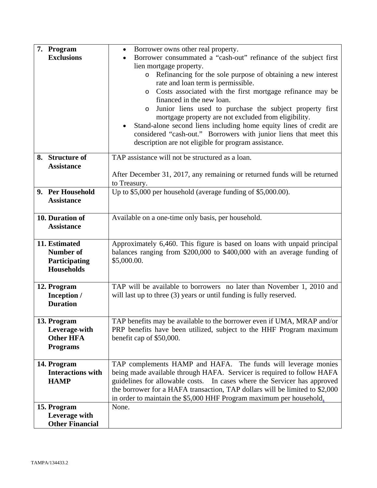| 7. Program<br><b>Exclusions</b>                                         | Borrower owns other real property.<br>Borrower consummated a "cash-out" refinance of the subject first<br>lien mortgage property.<br>Refinancing for the sole purpose of obtaining a new interest<br>$\circ$<br>rate and loan term is permissible.<br>Costs associated with the first mortgage refinance may be<br>O<br>financed in the new loan.<br>Junior liens used to purchase the subject property first<br>$\circ$<br>mortgage property are not excluded from eligibility.<br>Stand-alone second liens including home equity lines of credit are<br>considered "cash-out." Borrowers with junior liens that meet this<br>description are not eligible for program assistance. |
|-------------------------------------------------------------------------|-------------------------------------------------------------------------------------------------------------------------------------------------------------------------------------------------------------------------------------------------------------------------------------------------------------------------------------------------------------------------------------------------------------------------------------------------------------------------------------------------------------------------------------------------------------------------------------------------------------------------------------------------------------------------------------|
| 8. Structure of<br><b>Assistance</b><br>9. Per Household                | TAP assistance will not be structured as a loan.<br>After December 31, 2017, any remaining or returned funds will be returned<br>to Treasury.<br>Up to \$5,000 per household (average funding of \$5,000.00).                                                                                                                                                                                                                                                                                                                                                                                                                                                                       |
| <b>Assistance</b>                                                       |                                                                                                                                                                                                                                                                                                                                                                                                                                                                                                                                                                                                                                                                                     |
| 10. Duration of<br><b>Assistance</b>                                    | Available on a one-time only basis, per household.                                                                                                                                                                                                                                                                                                                                                                                                                                                                                                                                                                                                                                  |
| 11. Estimated<br><b>Number of</b><br>Participating<br><b>Households</b> | Approximately 6,460. This figure is based on loans with unpaid principal<br>balances ranging from \$200,000 to \$400,000 with an average funding of<br>\$5,000.00.                                                                                                                                                                                                                                                                                                                                                                                                                                                                                                                  |
| 12. Program<br>Inception /<br><b>Duration</b>                           | TAP will be available to borrowers no later than November 1, 2010 and<br>will last up to three (3) years or until funding is fully reserved.                                                                                                                                                                                                                                                                                                                                                                                                                                                                                                                                        |
| 13. Program<br>Leverage-with<br><b>Other HFA</b><br><b>Programs</b>     | TAP benefits may be available to the borrower even if UMA, MRAP and/or<br>PRP benefits have been utilized, subject to the HHF Program maximum<br>benefit cap of \$50,000.                                                                                                                                                                                                                                                                                                                                                                                                                                                                                                           |
| 14. Program<br><b>Interactions with</b><br><b>HAMP</b>                  | TAP complements HAMP and HAFA. The funds will leverage monies<br>being made available through HAFA. Servicer is required to follow HAFA<br>guidelines for allowable costs. In cases where the Servicer has approved<br>the borrower for a HAFA transaction, TAP dollars will be limited to \$2,000<br>in order to maintain the \$5,000 HHF Program maximum per household.                                                                                                                                                                                                                                                                                                           |
| 15. Program<br>Leverage with<br><b>Other Financial</b>                  | None.                                                                                                                                                                                                                                                                                                                                                                                                                                                                                                                                                                                                                                                                               |